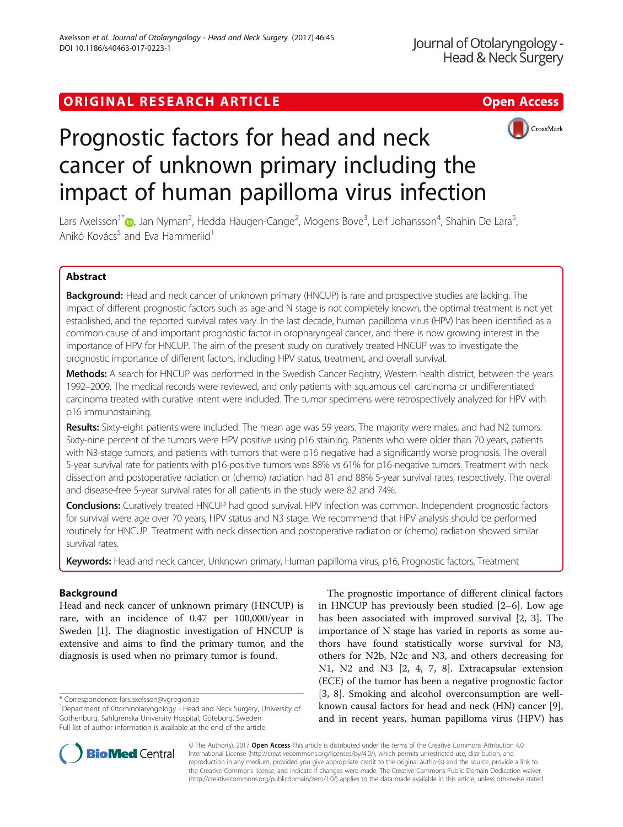# ORIGINAL RESEARCH ARTICLE **Solution Contract Contract Contract Contract Contract Contract Contract Contract Contract Contract Contract Contract Contract Contract Contract Contract Contract Contract Contract Contract Contra**





# Prognostic factors for head and neck cancer of unknown primary including the impact of human papilloma virus infection

Lars Axelsson<sup>1</sup>[\\*](http://orcid.org/0000-0001-7868-4375)@, Jan Nyman<sup>2</sup>, Hedda Haugen-Cange<sup>2</sup>, Mogens Bove<sup>3</sup>, Leif Johansson<sup>4</sup>, Shahin De Lara<sup>5</sup> , Anikó Kovács<sup>5</sup> and Eva Hammerlid<sup>1</sup>

## Abstract

Background: Head and neck cancer of unknown primary (HNCUP) is rare and prospective studies are lacking. The impact of different prognostic factors such as age and N stage is not completely known, the optimal treatment is not yet established, and the reported survival rates vary. In the last decade, human papilloma virus (HPV) has been identified as a common cause of and important prognostic factor in oropharyngeal cancer, and there is now growing interest in the importance of HPV for HNCUP. The aim of the present study on curatively treated HNCUP was to investigate the prognostic importance of different factors, including HPV status, treatment, and overall survival.

Methods: A search for HNCUP was performed in the Swedish Cancer Registry, Western health district, between the years 1992–2009. The medical records were reviewed, and only patients with squamous cell carcinoma or undifferentiated carcinoma treated with curative intent were included. The tumor specimens were retrospectively analyzed for HPV with p16 immunostaining.

Results: Sixty-eight patients were included. The mean age was 59 years. The majority were males, and had N2 tumors. Sixty-nine percent of the tumors were HPV positive using p16 staining. Patients who were older than 70 years, patients with N3-stage tumors, and patients with tumors that were p16 negative had a significantly worse prognosis. The overall 5-year survival rate for patients with p16-positive tumors was 88% vs 61% for p16-negative tumors. Treatment with neck dissection and postoperative radiation or (chemo) radiation had 81 and 88% 5-year survival rates, respectively. The overall and disease-free 5-year survival rates for all patients in the study were 82 and 74%.

Conclusions: Curatively treated HNCUP had good survival. HPV infection was common. Independent prognostic factors for survival were age over 70 years, HPV status and N3 stage. We recommend that HPV analysis should be performed routinely for HNCUP. Treatment with neck dissection and postoperative radiation or (chemo) radiation showed similar survival rates.

Keywords: Head and neck cancer, Unknown primary, Human papilloma virus, p16, Prognostic factors, Treatment

## Background

Head and neck cancer of unknown primary (HNCUP) is rare, with an incidence of 0.47 per 100,000/year in Sweden [[1](#page-8-0)]. The diagnostic investigation of HNCUP is extensive and aims to find the primary tumor, and the diagnosis is used when no primary tumor is found.

The prognostic importance of different clinical factors in HNCUP has previously been studied [[2](#page-8-0)–[6](#page-8-0)]. Low age has been associated with improved survival [\[2](#page-8-0), [3\]](#page-8-0). The importance of N stage has varied in reports as some authors have found statistically worse survival for N3, others for N2b, N2c and N3, and others decreasing for N1, N2 and N3 [[2, 4](#page-8-0), [7, 8\]](#page-8-0). Extracapsular extension (ECE) of the tumor has been a negative prognostic factor [[3, 8](#page-8-0)]. Smoking and alcohol overconsumption are wellknown causal factors for head and neck (HN) cancer [\[9](#page-8-0)], and in recent years, human papilloma virus (HPV) has



© The Author(s). 2017 **Open Access** This article is distributed under the terms of the Creative Commons Attribution 4.0 International License [\(http://creativecommons.org/licenses/by/4.0/](http://creativecommons.org/licenses/by/4.0/)), which permits unrestricted use, distribution, and reproduction in any medium, provided you give appropriate credit to the original author(s) and the source, provide a link to the Creative Commons license, and indicate if changes were made. The Creative Commons Public Domain Dedication waiver [\(http://creativecommons.org/publicdomain/zero/1.0/](http://creativecommons.org/publicdomain/zero/1.0/)) applies to the data made available in this article, unless otherwise stated.

<sup>\*</sup> Correspondence: [lars.axelsson@vgregion.se](mailto:lars.axelsson@vgregion.se) <sup>1</sup>

<sup>&</sup>lt;sup>1</sup>Department of Otorhinolaryngology - Head and Neck Surgery, University of Gothenburg, Sahlgrenska University Hospital, Göteborg, Sweden Full list of author information is available at the end of the article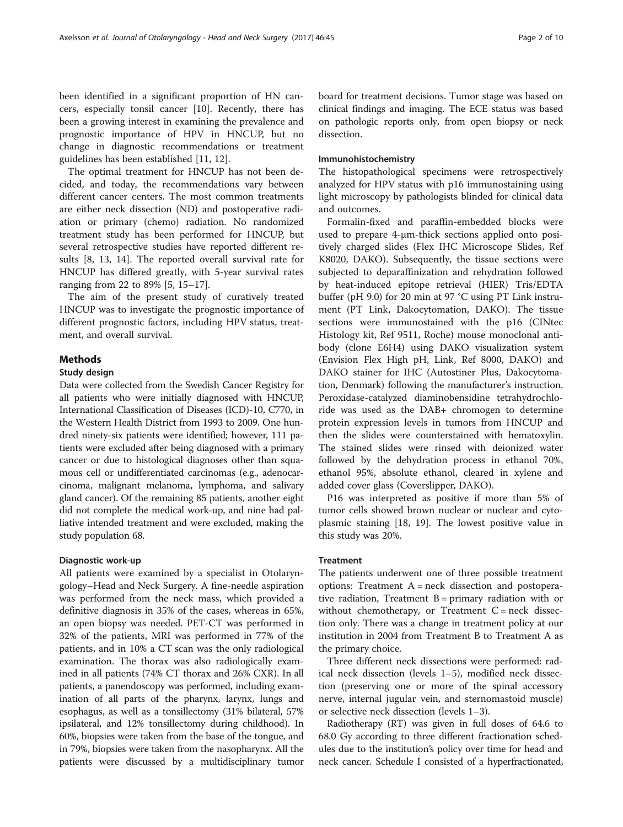been identified in a significant proportion of HN cancers, especially tonsil cancer [[10\]](#page-8-0). Recently, there has been a growing interest in examining the prevalence and prognostic importance of HPV in HNCUP, but no change in diagnostic recommendations or treatment guidelines has been established [\[11, 12\]](#page-8-0).

The optimal treatment for HNCUP has not been decided, and today, the recommendations vary between different cancer centers. The most common treatments are either neck dissection (ND) and postoperative radiation or primary (chemo) radiation. No randomized treatment study has been performed for HNCUP, but several retrospective studies have reported different results [\[8](#page-8-0), [13](#page-8-0), [14\]](#page-8-0). The reported overall survival rate for HNCUP has differed greatly, with 5-year survival rates ranging from 22 to 89% [\[5](#page-8-0), [15](#page-8-0)–[17\]](#page-8-0).

The aim of the present study of curatively treated HNCUP was to investigate the prognostic importance of different prognostic factors, including HPV status, treatment, and overall survival.

## Methods

## Study design

Data were collected from the Swedish Cancer Registry for all patients who were initially diagnosed with HNCUP, International Classification of Diseases (ICD)-10, C770, in the Western Health District from 1993 to 2009. One hundred ninety-six patients were identified; however, 111 patients were excluded after being diagnosed with a primary cancer or due to histological diagnoses other than squamous cell or undifferentiated carcinomas (e.g., adenocarcinoma, malignant melanoma, lymphoma, and salivary gland cancer). Of the remaining 85 patients, another eight did not complete the medical work-up, and nine had palliative intended treatment and were excluded, making the study population 68.

## Diagnostic work-up

All patients were examined by a specialist in Otolaryngology–Head and Neck Surgery. A fine-needle aspiration was performed from the neck mass, which provided a definitive diagnosis in 35% of the cases, whereas in 65%, an open biopsy was needed. PET-CT was performed in 32% of the patients, MRI was performed in 77% of the patients, and in 10% a CT scan was the only radiological examination. The thorax was also radiologically examined in all patients (74% CT thorax and 26% CXR). In all patients, a panendoscopy was performed, including examination of all parts of the pharynx, larynx, lungs and esophagus, as well as a tonsillectomy (31% bilateral, 57% ipsilateral, and 12% tonsillectomy during childhood). In 60%, biopsies were taken from the base of the tongue, and in 79%, biopsies were taken from the nasopharynx. All the patients were discussed by a multidisciplinary tumor board for treatment decisions. Tumor stage was based on clinical findings and imaging. The ECE status was based on pathologic reports only, from open biopsy or neck dissection.

## Immunohistochemistry

The histopathological specimens were retrospectively analyzed for HPV status with p16 immunostaining using light microscopy by pathologists blinded for clinical data and outcomes.

Formalin-fixed and paraffin-embedded blocks were used to prepare 4-μm-thick sections applied onto positively charged slides (Flex IHC Microscope Slides, Ref K8020, DAKO). Subsequently, the tissue sections were subjected to deparaffinization and rehydration followed by heat-induced epitope retrieval (HIER) Tris/EDTA buffer (pH 9.0) for 20 min at 97 °C using PT Link instrument (PT Link, Dakocytomation, DAKO). The tissue sections were immunostained with the p16 (CINtec Histology kit, Ref 9511, Roche) mouse monoclonal antibody (clone E6H4) using DAKO visualization system (Envision Flex High pH, Link, Ref 8000, DAKO) and DAKO stainer for IHC (Autostiner Plus, Dakocytomation, Denmark) following the manufacturer's instruction. Peroxidase-catalyzed diaminobensidine tetrahydrochloride was used as the DAB+ chromogen to determine protein expression levels in tumors from HNCUP and then the slides were counterstained with hematoxylin. The stained slides were rinsed with deionized water followed by the dehydration process in ethanol 70%, ethanol 95%, absolute ethanol, cleared in xylene and added cover glass (Coverslipper, DAKO).

P16 was interpreted as positive if more than 5% of tumor cells showed brown nuclear or nuclear and cytoplasmic staining [[18](#page-8-0), [19](#page-8-0)]. The lowest positive value in this study was 20%.

## Treatment

The patients underwent one of three possible treatment options: Treatment A = neck dissection and postoperative radiation, Treatment  $B =$  primary radiation with or without chemotherapy, or Treatment  $C = neck$  dissection only. There was a change in treatment policy at our institution in 2004 from Treatment B to Treatment A as the primary choice.

Three different neck dissections were performed: radical neck dissection (levels 1–5), modified neck dissection (preserving one or more of the spinal accessory nerve, internal jugular vein, and sternomastoid muscle) or selective neck dissection (levels 1–3).

Radiotherapy (RT) was given in full doses of 64.6 to 68.0 Gy according to three different fractionation schedules due to the institution's policy over time for head and neck cancer. Schedule I consisted of a hyperfractionated,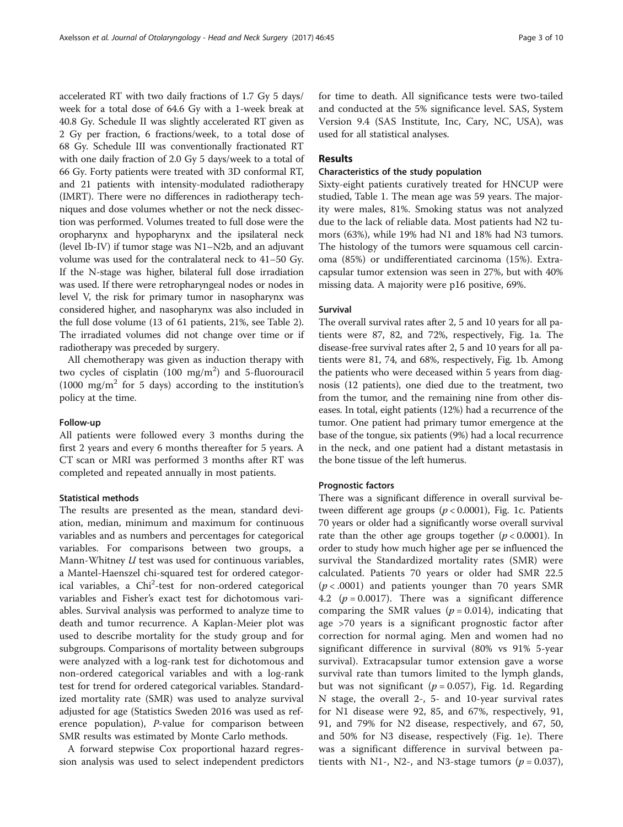accelerated RT with two daily fractions of 1.7 Gy 5 days/ week for a total dose of 64.6 Gy with a 1-week break at 40.8 Gy. Schedule II was slightly accelerated RT given as 2 Gy per fraction, 6 fractions/week, to a total dose of 68 Gy. Schedule III was conventionally fractionated RT with one daily fraction of 2.0 Gy 5 days/week to a total of 66 Gy. Forty patients were treated with 3D conformal RT, and 21 patients with intensity-modulated radiotherapy (IMRT). There were no differences in radiotherapy techniques and dose volumes whether or not the neck dissection was performed. Volumes treated to full dose were the oropharynx and hypopharynx and the ipsilateral neck (level Ib-IV) if tumor stage was N1–N2b, and an adjuvant volume was used for the contralateral neck to 41–50 Gy. If the N-stage was higher, bilateral full dose irradiation was used. If there were retropharyngeal nodes or nodes in level V, the risk for primary tumor in nasopharynx was considered higher, and nasopharynx was also included in the full dose volume (13 of 61 patients, 21%, see Table [2](#page-6-0)). The irradiated volumes did not change over time or if radiotherapy was preceded by surgery.

All chemotherapy was given as induction therapy with two cycles of cisplatin  $(100 \text{ mg/m}^2)$  and 5-fluorouracil  $(1000 \text{ mg/m}^2 \text{ for } 5 \text{ days})$  according to the institution's policy at the time.

## Follow-up

All patients were followed every 3 months during the first 2 years and every 6 months thereafter for 5 years. A CT scan or MRI was performed 3 months after RT was completed and repeated annually in most patients.

## Statistical methods

The results are presented as the mean, standard deviation, median, minimum and maximum for continuous variables and as numbers and percentages for categorical variables. For comparisons between two groups, a Mann-Whitney U test was used for continuous variables, a Mantel-Haenszel chi-squared test for ordered categorical variables, a Chi<sup>2</sup>-test for non-ordered categorical variables and Fisher's exact test for dichotomous variables. Survival analysis was performed to analyze time to death and tumor recurrence. A Kaplan-Meier plot was used to describe mortality for the study group and for subgroups. Comparisons of mortality between subgroups were analyzed with a log-rank test for dichotomous and non-ordered categorical variables and with a log-rank test for trend for ordered categorical variables. Standardized mortality rate (SMR) was used to analyze survival adjusted for age (Statistics Sweden 2016 was used as reference population), P-value for comparison between SMR results was estimated by Monte Carlo methods.

A forward stepwise Cox proportional hazard regression analysis was used to select independent predictors for time to death. All significance tests were two-tailed and conducted at the 5% significance level. SAS, System Version 9.4 (SAS Institute, Inc, Cary, NC, USA), was used for all statistical analyses.

## Results

## Characteristics of the study population

Sixty-eight patients curatively treated for HNCUP were studied, Table [1](#page-3-0). The mean age was 59 years. The majority were males, 81%. Smoking status was not analyzed due to the lack of reliable data. Most patients had N2 tumors (63%), while 19% had N1 and 18% had N3 tumors. The histology of the tumors were squamous cell carcinoma (85%) or undifferentiated carcinoma (15%). Extracapsular tumor extension was seen in 27%, but with 40% missing data. A majority were p16 positive, 69%.

#### Survival

The overall survival rates after 2, 5 and 10 years for all patients were 87, 82, and 72%, respectively, Fig. [1a](#page-5-0). The disease-free survival rates after 2, 5 and 10 years for all patients were 81, 74, and 68%, respectively, Fig. [1b.](#page-5-0) Among the patients who were deceased within 5 years from diagnosis (12 patients), one died due to the treatment, two from the tumor, and the remaining nine from other diseases. In total, eight patients (12%) had a recurrence of the tumor. One patient had primary tumor emergence at the base of the tongue, six patients (9%) had a local recurrence in the neck, and one patient had a distant metastasis in the bone tissue of the left humerus.

## Prognostic factors

There was a significant difference in overall survival between different age groups ( $p < 0.0001$ ), Fig. [1c](#page-5-0). Patients 70 years or older had a significantly worse overall survival rate than the other age groups together  $(p < 0.0001)$ . In order to study how much higher age per se influenced the survival the Standardized mortality rates (SMR) were calculated. Patients 70 years or older had SMR 22.5  $(p < .0001)$  and patients younger than 70 years SMR 4.2 ( $p = 0.0017$ ). There was a significant difference comparing the SMR values ( $p = 0.014$ ), indicating that age >70 years is a significant prognostic factor after correction for normal aging. Men and women had no significant difference in survival (80% vs 91% 5-year survival). Extracapsular tumor extension gave a worse survival rate than tumors limited to the lymph glands, but was not significant ( $p = 0.057$ ), Fig. [1d.](#page-5-0) Regarding N stage, the overall 2-, 5- and 10-year survival rates for N1 disease were 92, 85, and 67%, respectively, 91, 91, and 79% for N2 disease, respectively, and 67, 50, and 50% for N3 disease, respectively (Fig. [1e\)](#page-5-0). There was a significant difference in survival between patients with N1-, N2-, and N3-stage tumors ( $p = 0.037$ ),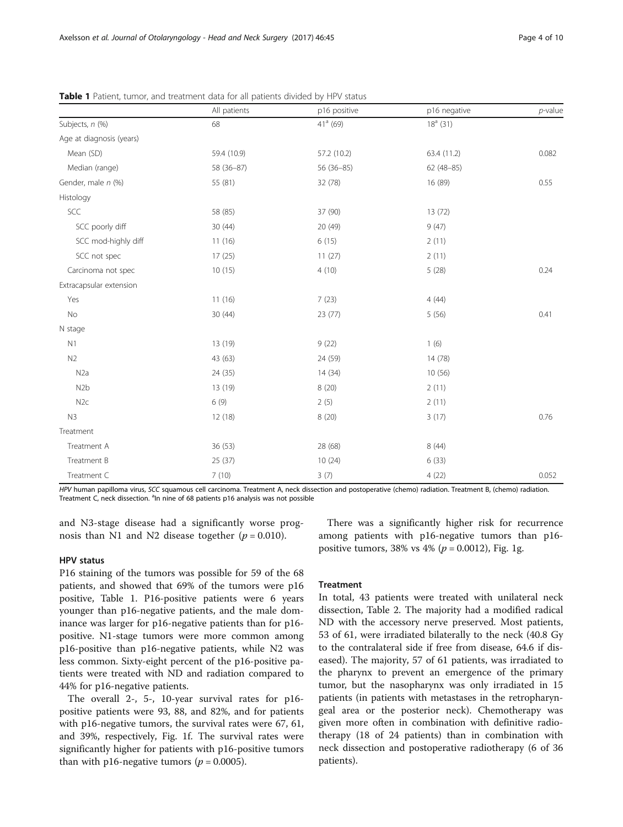|                          | All patients | p16 positive | p16 negative | $p$ -value |
|--------------------------|--------------|--------------|--------------|------------|
| Subjects, n (%)          | 68           | $41a$ (69)   | $18a$ (31)   |            |
| Age at diagnosis (years) |              |              |              |            |
| Mean (SD)                | 59.4 (10.9)  | 57.2 (10.2)  | 63.4 (11.2)  | 0.082      |
| Median (range)           | 58 (36-87)   | $56(36-85)$  | $62(48-85)$  |            |
| Gender, male n (%)       | 55 (81)      | 32 (78)      | 16 (89)      | 0.55       |
| Histology                |              |              |              |            |
| SCC                      | 58 (85)      | 37 (90)      | 13(72)       |            |
| SCC poorly diff          | 30(44)       | 20 (49)      | 9(47)        |            |
| SCC mod-highly diff      | 11(16)       | 6(15)        | 2(11)        |            |
| SCC not spec             | 17(25)       | 11(27)       | 2(11)        |            |
| Carcinoma not spec       | 10(15)       | 4(10)        | 5(28)        | 0.24       |
| Extracapsular extension  |              |              |              |            |
| Yes                      | 11(16)       | 7(23)        | 4(44)        |            |
| $\rm No$                 | 30(44)       | 23(77)       | 5(56)        | 0.41       |
| N stage                  |              |              |              |            |
| N1                       | 13 (19)      | 9(22)        | 1(6)         |            |
| N2                       | 43 (63)      | 24 (59)      | 14 (78)      |            |
| N <sub>2</sub> a         | 24 (35)      | 14(34)       | 10(56)       |            |
| N <sub>2</sub> b         | 13 (19)      | 8(20)        | 2(11)        |            |
| N2c                      | 6(9)         | 2(5)         | 2(11)        |            |
| N3                       | 12(18)       | 8(20)        | 3(17)        | 0.76       |
| Treatment                |              |              |              |            |
| Treatment A              | 36 (53)      | 28 (68)      | 8(44)        |            |
| Treatment B              | 25 (37)      | 10(24)       | 6(33)        |            |
| Treatment C              | 7(10)        | 3(7)         | 4(22)        | 0.052      |

<span id="page-3-0"></span>Table 1 Patient, tumor, and treatment data for all patients divided by HPV status

HPV human papilloma virus, SCC squamous cell carcinoma. Treatment A, neck dissection and postoperative (chemo) radiation. Treatment B, (chemo) radiation. Treatment C, neck dissection. <sup>a</sup>ln nine of 68 patients p16 analysis was not possible

and N3-stage disease had a significantly worse prognosis than N1 and N2 disease together  $(p = 0.010)$ .

## HPV status

P16 staining of the tumors was possible for 59 of the 68 patients, and showed that 69% of the tumors were p16 positive, Table 1. P16-positive patients were 6 years younger than p16-negative patients, and the male dominance was larger for p16-negative patients than for p16 positive. N1-stage tumors were more common among p16-positive than p16-negative patients, while N2 was less common. Sixty-eight percent of the p16-positive patients were treated with ND and radiation compared to 44% for p16-negative patients.

The overall 2-, 5-, 10-year survival rates for p16 positive patients were 93, 88, and 82%, and for patients with p16-negative tumors, the survival rates were 67, 61, and 39%, respectively, Fig. [1f](#page-5-0). The survival rates were significantly higher for patients with p16-positive tumors than with p16-negative tumors ( $p = 0.0005$ ).

There was a significantly higher risk for recurrence among patients with p16-negative tumors than p16 positive tumors, 38% vs 4% ( $p = 0.0012$ ), Fig. [1g.](#page-5-0)

## **Treatment**

In total, 43 patients were treated with unilateral neck dissection, Table [2](#page-6-0). The majority had a modified radical ND with the accessory nerve preserved. Most patients, 53 of 61, were irradiated bilaterally to the neck (40.8 Gy to the contralateral side if free from disease, 64.6 if diseased). The majority, 57 of 61 patients, was irradiated to the pharynx to prevent an emergence of the primary tumor, but the nasopharynx was only irradiated in 15 patients (in patients with metastases in the retropharyngeal area or the posterior neck). Chemotherapy was given more often in combination with definitive radiotherapy (18 of 24 patients) than in combination with neck dissection and postoperative radiotherapy (6 of 36 patients).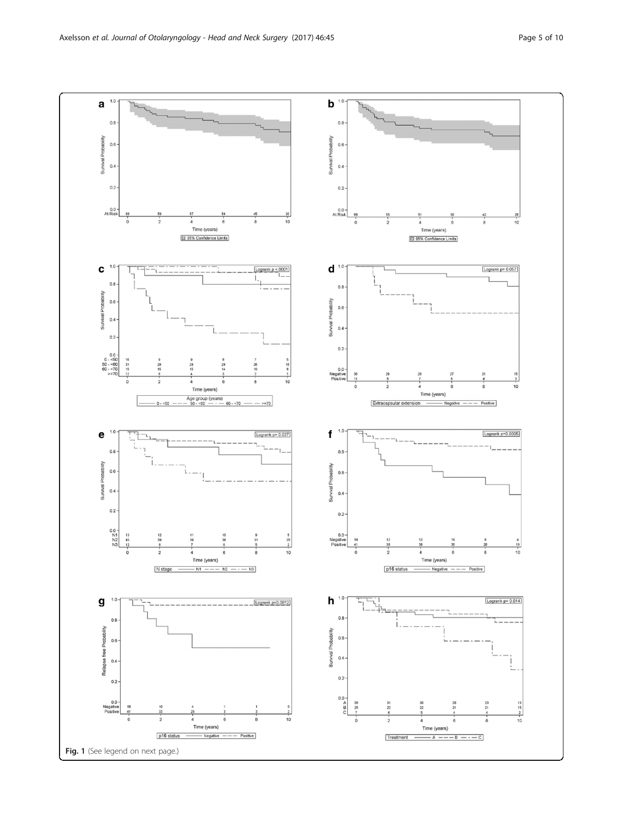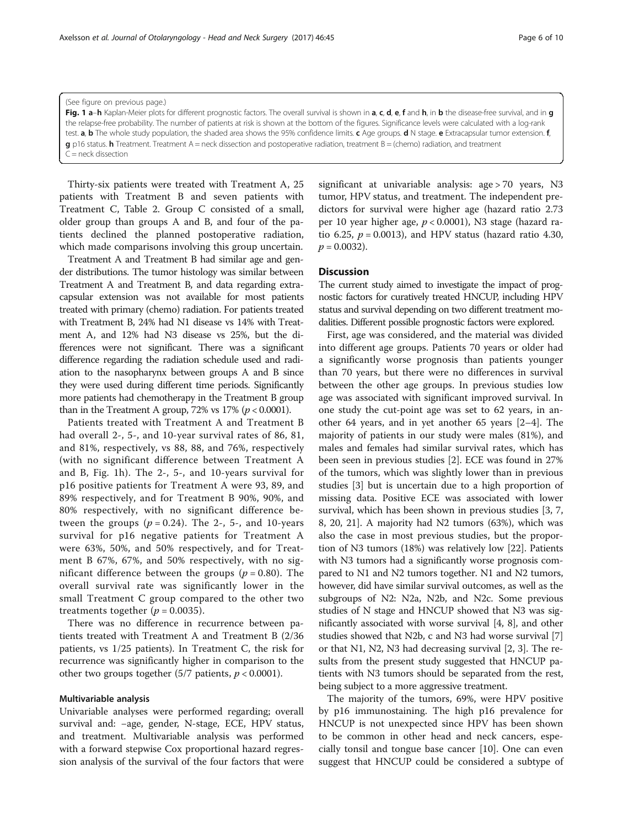Thirty-six patients were treated with Treatment A, 25 patients with Treatment B and seven patients with Treatment C, Table [2.](#page-6-0) Group C consisted of a small, older group than groups A and B, and four of the patients declined the planned postoperative radiation, which made comparisons involving this group uncertain.

<span id="page-5-0"></span>(See figure on previous page.)

 $=$  neck dissection

Treatment A and Treatment B had similar age and gender distributions. The tumor histology was similar between Treatment A and Treatment B, and data regarding extracapsular extension was not available for most patients treated with primary (chemo) radiation. For patients treated with Treatment B, 24% had N1 disease vs 14% with Treatment A, and 12% had N3 disease vs 25%, but the differences were not significant. There was a significant difference regarding the radiation schedule used and radiation to the nasopharynx between groups A and B since they were used during different time periods. Significantly more patients had chemotherapy in the Treatment B group than in the Treatment A group, 72% vs  $17\%$  ( $p < 0.0001$ ).

Patients treated with Treatment A and Treatment B had overall 2-, 5-, and 10-year survival rates of 86, 81, and 81%, respectively, vs 88, 88, and 76%, respectively (with no significant difference between Treatment A and B, Fig. 1h). The 2-, 5-, and 10-years survival for p16 positive patients for Treatment A were 93, 89, and 89% respectively, and for Treatment B 90%, 90%, and 80% respectively, with no significant difference between the groups  $(p = 0.24)$ . The 2-, 5-, and 10-years survival for p16 negative patients for Treatment A were 63%, 50%, and 50% respectively, and for Treatment B 67%, 67%, and 50% respectively, with no significant difference between the groups ( $p = 0.80$ ). The overall survival rate was significantly lower in the small Treatment C group compared to the other two treatments together ( $p = 0.0035$ ).

There was no difference in recurrence between patients treated with Treatment A and Treatment B (2/36 patients, vs 1/25 patients). In Treatment C, the risk for recurrence was significantly higher in comparison to the other two groups together  $(5/7 \text{ patients}, p < 0.0001)$ .

## Multivariable analysis

Univariable analyses were performed regarding; overall survival and: −age, gender, N-stage, ECE, HPV status, and treatment. Multivariable analysis was performed with a forward stepwise Cox proportional hazard regression analysis of the survival of the four factors that were significant at univariable analysis: age > 70 years, N3 tumor, HPV status, and treatment. The independent predictors for survival were higher age (hazard ratio 2.73 per 10 year higher age,  $p < 0.0001$ ), N3 stage (hazard ratio 6.25,  $p = 0.0013$ ), and HPV status (hazard ratio 4.30,  $p = 0.0032$ ).

## **Discussion**

Fig. 1 a-h Kaplan-Meier plots for different prognostic factors. The overall survival is shown in a, c, d, e, f and h, in b the disease-free survival, and in g the relapse-free probability. The number of patients at risk is shown at the bottom of the figures. Significance levels were calculated with a log-rank test. a, b The whole study population, the shaded area shows the 95% confidence limits. c Age groups. d N stage. e Extracapsular tumor extension. f,

 $g$  p16 status. h Treatment. Treatment A = neck dissection and postoperative radiation, treatment B = (chemo) radiation, and treatment

The current study aimed to investigate the impact of prognostic factors for curatively treated HNCUP, including HPV status and survival depending on two different treatment modalities. Different possible prognostic factors were explored.

First, age was considered, and the material was divided into different age groups. Patients 70 years or older had a significantly worse prognosis than patients younger than 70 years, but there were no differences in survival between the other age groups. In previous studies low age was associated with significant improved survival. In one study the cut-point age was set to 62 years, in another 64 years, and in yet another 65 years [\[2](#page-8-0)–[4\]](#page-8-0). The majority of patients in our study were males (81%), and males and females had similar survival rates, which has been seen in previous studies [[2](#page-8-0)]. ECE was found in 27% of the tumors, which was slightly lower than in previous studies [[3\]](#page-8-0) but is uncertain due to a high proportion of missing data. Positive ECE was associated with lower survival, which has been shown in previous studies [\[3](#page-8-0), [7](#page-8-0), [8, 20](#page-8-0), [21](#page-8-0)]. A majority had N2 tumors (63%), which was also the case in most previous studies, but the proportion of N3 tumors (18%) was relatively low [\[22](#page-8-0)]. Patients with N3 tumors had a significantly worse prognosis compared to N1 and N2 tumors together. N1 and N2 tumors, however, did have similar survival outcomes, as well as the subgroups of N2: N2a, N2b, and N2c. Some previous studies of N stage and HNCUP showed that N3 was significantly associated with worse survival [[4, 8](#page-8-0)], and other studies showed that N2b, c and N3 had worse survival [[7](#page-8-0)] or that N1, N2, N3 had decreasing survival [\[2](#page-8-0), [3](#page-8-0)]. The results from the present study suggested that HNCUP patients with N3 tumors should be separated from the rest, being subject to a more aggressive treatment.

The majority of the tumors, 69%, were HPV positive by p16 immunostaining. The high p16 prevalence for HNCUP is not unexpected since HPV has been shown to be common in other head and neck cancers, especially tonsil and tongue base cancer [[10](#page-8-0)]. One can even suggest that HNCUP could be considered a subtype of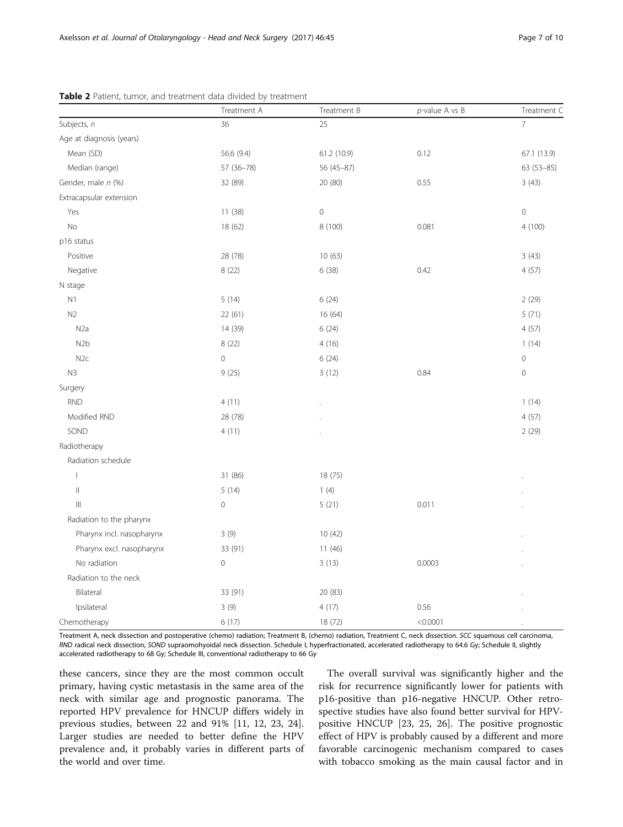|                           | Treatment A | Treatment B         | $p$ -value A vs B | Treatment C    |
|---------------------------|-------------|---------------------|-------------------|----------------|
| Subjects, n               | 36          | 25                  |                   | $\overline{7}$ |
| Age at diagnosis (years)  |             |                     |                   |                |
| Mean (SD)                 | 56.6 (9.4)  | 61.2 (10.9)         | 0.12              | 67.1 (13.9)    |
| Median (range)            | 57 (36-78)  | 56 (45-87)          |                   | 63 (53-85)     |
| Gender, male n (%)        | 32 (89)     | 20 (80)             | 0.55              | 3(43)          |
| Extracapsular extension   |             |                     |                   |                |
| Yes                       | 11 (38)     | $\mathsf{O}\xspace$ |                   | $\mathbf 0$    |
| No                        | 18 (62)     | 8 (100)             | 0.081             | 4 (100)        |
| p16 status                |             |                     |                   |                |
| Positive                  | 28 (78)     | 10(63)              |                   | 3(43)          |
| Negative                  | 8(22)       | 6(38)               | 0.42              | 4(57)          |
| N stage                   |             |                     |                   |                |
| N1                        | 5(14)       | 6(24)               |                   | 2(29)          |
| N <sub>2</sub>            | 22 (61)     | 16(64)              |                   | 5(71)          |
| N <sub>2</sub> a          | 14 (39)     | 6(24)               |                   | 4(57)          |
| N <sub>2</sub> b          | 8 (22)      | 4(16)               |                   | 1(14)          |
| N <sub>2c</sub>           | $\mathbf 0$ | 6(24)               |                   | $\mathbf 0$    |
| N <sub>3</sub>            | 9(25)       | 3(12)               | 0.84              | $\mathbf 0$    |
| Surgery                   |             |                     |                   |                |
| <b>RND</b>                | 4(11)       |                     |                   | 1(14)          |
| Modified RND              | 28 (78)     |                     |                   | 4(57)          |
| SOND                      | 4(11)       |                     |                   | 2(29)          |
| Radiotherapy              |             |                     |                   |                |
| Radiation schedule        |             |                     |                   |                |
| $\mathbf{I}$              | 31 (86)     | 18 (75)             |                   |                |
| $\parallel$               | 5(14)       | 1(4)                |                   |                |
| $\  \ $                   | $\mathbf 0$ | 5(21)               | 0.011             |                |
| Radiation to the pharynx  |             |                     |                   |                |
| Pharynx incl. nasopharynx | 3(9)        | 10(42)              |                   |                |
| Pharynx excl. nasopharynx | 33 (91)     | 11(46)              |                   |                |
| No radiation              | $\mathbf 0$ | 3(13)               | 0.0003            |                |
| Radiation to the neck     |             |                     |                   |                |
| Bilateral                 | 33 (91)     | 20 (83)             |                   |                |
| Ipsilateral               | 3(9)        | 4(17)               | 0.56              |                |
| Chemotherapy              | 6(17)       | 18 (72)             | < 0.0001          |                |

<span id="page-6-0"></span>Table 2 Patient, tumor, and treatment data divided by treatment

Treatment A, neck dissection and postoperative (chemo) radiation; Treatment B, (chemo) radiation, Treatment C, neck dissection. SCC squamous cell carcinoma, RND radical neck dissection, SOND supraomohyoidal neck dissection. Schedule I, hyperfractionated, accelerated radiotherapy to 64.6 Gy; Schedule II, slightly accelerated radiotherapy to 68 Gy; Schedule III, conventional radiotherapy to 66 Gy

these cancers, since they are the most common occult primary, having cystic metastasis in the same area of the neck with similar age and prognostic panorama. The reported HPV prevalence for HNCUP differs widely in previous studies, between 22 and 91% [\[11](#page-8-0), [12, 23, 24](#page-8-0)]. Larger studies are needed to better define the HPV prevalence and, it probably varies in different parts of the world and over time.

The overall survival was significantly higher and the risk for recurrence significantly lower for patients with p16-positive than p16-negative HNCUP. Other retrospective studies have also found better survival for HPVpositive HNCUP [[23, 25, 26\]](#page-8-0). The positive prognostic effect of HPV is probably caused by a different and more favorable carcinogenic mechanism compared to cases with tobacco smoking as the main causal factor and in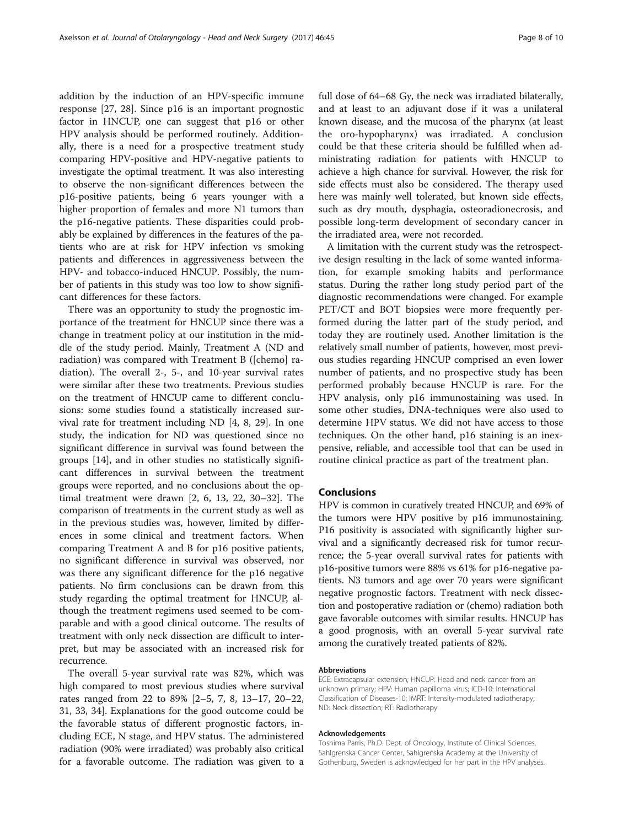addition by the induction of an HPV-specific immune response [\[27](#page-8-0), [28](#page-8-0)]. Since p16 is an important prognostic factor in HNCUP, one can suggest that p16 or other HPV analysis should be performed routinely. Additionally, there is a need for a prospective treatment study comparing HPV-positive and HPV-negative patients to investigate the optimal treatment. It was also interesting to observe the non-significant differences between the p16-positive patients, being 6 years younger with a higher proportion of females and more N1 tumors than the p16-negative patients. These disparities could probably be explained by differences in the features of the patients who are at risk for HPV infection vs smoking patients and differences in aggressiveness between the HPV- and tobacco-induced HNCUP. Possibly, the number of patients in this study was too low to show significant differences for these factors.

There was an opportunity to study the prognostic importance of the treatment for HNCUP since there was a change in treatment policy at our institution in the middle of the study period. Mainly, Treatment A (ND and radiation) was compared with Treatment B ([chemo] radiation). The overall 2-, 5-, and 10-year survival rates were similar after these two treatments. Previous studies on the treatment of HNCUP came to different conclusions: some studies found a statistically increased survival rate for treatment including ND [[4, 8, 29\]](#page-8-0). In one study, the indication for ND was questioned since no significant difference in survival was found between the groups [[14](#page-8-0)], and in other studies no statistically significant differences in survival between the treatment groups were reported, and no conclusions about the optimal treatment were drawn [\[2](#page-8-0), [6, 13](#page-8-0), [22](#page-8-0), [30](#page-8-0)–[32\]](#page-8-0). The comparison of treatments in the current study as well as in the previous studies was, however, limited by differences in some clinical and treatment factors. When comparing Treatment A and B for p16 positive patients, no significant difference in survival was observed, nor was there any significant difference for the p16 negative patients. No firm conclusions can be drawn from this study regarding the optimal treatment for HNCUP, although the treatment regimens used seemed to be comparable and with a good clinical outcome. The results of treatment with only neck dissection are difficult to interpret, but may be associated with an increased risk for recurrence.

The overall 5-year survival rate was 82%, which was high compared to most previous studies where survival rates ranged from 22 to 89% [[2](#page-8-0)–[5](#page-8-0), [7, 8, 13](#page-8-0)–[17, 20](#page-8-0)–[22](#page-8-0), [31,](#page-8-0) [33, 34](#page-9-0)]. Explanations for the good outcome could be the favorable status of different prognostic factors, including ECE, N stage, and HPV status. The administered radiation (90% were irradiated) was probably also critical for a favorable outcome. The radiation was given to a full dose of 64–68 Gy, the neck was irradiated bilaterally, and at least to an adjuvant dose if it was a unilateral known disease, and the mucosa of the pharynx (at least the oro-hypopharynx) was irradiated. A conclusion could be that these criteria should be fulfilled when administrating radiation for patients with HNCUP to achieve a high chance for survival. However, the risk for side effects must also be considered. The therapy used here was mainly well tolerated, but known side effects, such as dry mouth, dysphagia, osteoradionecrosis, and possible long-term development of secondary cancer in the irradiated area, were not recorded.

A limitation with the current study was the retrospective design resulting in the lack of some wanted information, for example smoking habits and performance status. During the rather long study period part of the diagnostic recommendations were changed. For example PET/CT and BOT biopsies were more frequently performed during the latter part of the study period, and today they are routinely used. Another limitation is the relatively small number of patients, however, most previous studies regarding HNCUP comprised an even lower number of patients, and no prospective study has been performed probably because HNCUP is rare. For the HPV analysis, only p16 immunostaining was used. In some other studies, DNA-techniques were also used to determine HPV status. We did not have access to those techniques. On the other hand, p16 staining is an inexpensive, reliable, and accessible tool that can be used in routine clinical practice as part of the treatment plan.

#### Conclusions

HPV is common in curatively treated HNCUP, and 69% of the tumors were HPV positive by p16 immunostaining. P16 positivity is associated with significantly higher survival and a significantly decreased risk for tumor recurrence; the 5-year overall survival rates for patients with p16-positive tumors were 88% vs 61% for p16-negative patients. N3 tumors and age over 70 years were significant negative prognostic factors. Treatment with neck dissection and postoperative radiation or (chemo) radiation both gave favorable outcomes with similar results. HNCUP has a good prognosis, with an overall 5-year survival rate among the curatively treated patients of 82%.

#### Abbreviations

ECE: Extracapsular extension; HNCUP: Head and neck cancer from an unknown primary; HPV: Human papilloma virus; ICD-10: International Classification of Diseases-10; IMRT: Intensity-modulated radiotherapy; ND: Neck dissection; RT: Radiotherapy

#### Acknowledgements

Toshima Parris, Ph.D. Dept. of Oncology, Institute of Clinical Sciences, Sahlgrenska Cancer Center, Sahlgrenska Academy at the University of Gothenburg, Sweden is acknowledged for her part in the HPV analyses.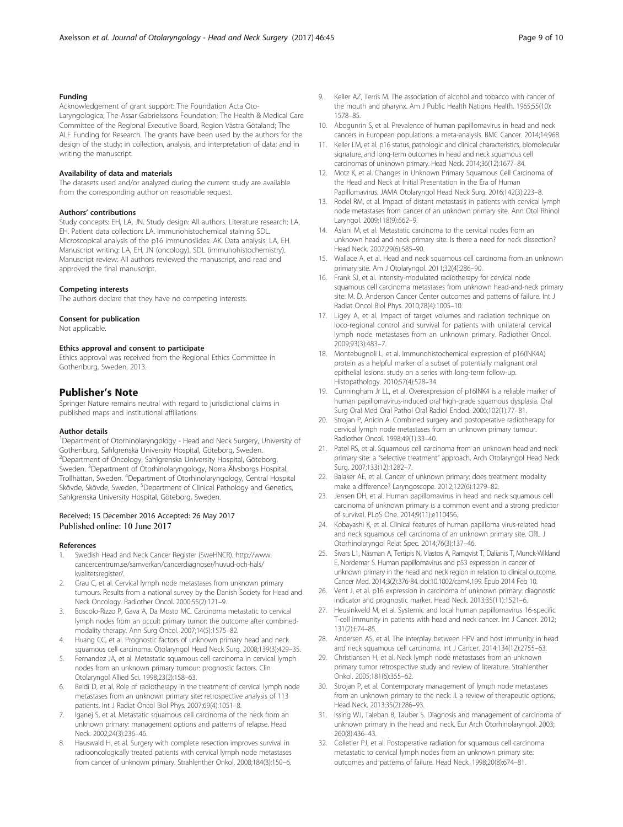## <span id="page-8-0"></span>Funding

Acknowledgement of grant support: The Foundation Acta Oto-Laryngologica; The Assar Gabrielssons Foundation; The Health & Medical Care Committee of the Regional Executive Board, Region Västra Götaland; The ALF Funding for Research. The grants have been used by the authors for the design of the study; in collection, analysis, and interpretation of data; and in writing the manuscript.

#### Availability of data and materials

The datasets used and/or analyzed during the current study are available from the corresponding author on reasonable request.

#### Authors' contributions

Study concepts: EH, LA, JN. Study design: All authors. Literature research: LA, EH. Patient data collection: LA. Immunohistochemical staining SDL. Microscopical analysis of the p16 immunoslides: AK. Data analysis: LA, EH. Manuscript writing: LA, EH, JN (oncology), SDL (immunohistochemistry). Manuscript review: All authors reviewed the manuscript, and read and approved the final manuscript.

## Competing interests

The authors declare that they have no competing interests.

#### Consent for publication

Not applicable.

#### Ethics approval and consent to participate

Ethics approval was received from the Regional Ethics Committee in Gothenburg, Sweden, 2013.

#### Publisher's Note

Springer Nature remains neutral with regard to jurisdictional claims in published maps and institutional affiliations.

#### Author details

<sup>1</sup>Department of Otorhinolaryngology - Head and Neck Surgery, University of Gothenburg, Sahlgrenska University Hospital, Göteborg, Sweden. 2 Department of Oncology, Sahlgrenska University Hospital, Göteborg, Sweden. <sup>3</sup>Department of Otorhinolaryngology, Norra Älvsborgs Hospital, Trollhättan, Sweden. <sup>4</sup> Department of Otorhinolaryngology, Central Hospital Skövde, Skövde, Sweden. <sup>5</sup>Department of Clinical Pathology and Genetics, Sahlgrenska University Hospital, Göteborg, Sweden.

## Received: 15 December 2016 Accepted: 26 May 2017 Published online: 10 June 2017

#### References

- 1. Swedish Head and Neck Cancer Register (SweHNCR). [http://www.](http://www.cancercentrum.se/samverkan/cancerdiagnoser/huvud-och-hals/kvalitetsregister/) [cancercentrum.se/samverkan/cancerdiagnoser/huvud-och-hals/](http://www.cancercentrum.se/samverkan/cancerdiagnoser/huvud-och-hals/kvalitetsregister/) [kvalitetsregister/.](http://www.cancercentrum.se/samverkan/cancerdiagnoser/huvud-och-hals/kvalitetsregister/)
- 2. Grau C, et al. Cervical lymph node metastases from unknown primary tumours. Results from a national survey by the Danish Society for Head and Neck Oncology. Radiother Oncol. 2000;55(2):121–9.
- 3. Boscolo-Rizzo P, Gava A, Da Mosto MC. Carcinoma metastatic to cervical lymph nodes from an occult primary tumor: the outcome after combinedmodality therapy. Ann Surg Oncol. 2007;14(5):1575–82.
- 4. Huang CC, et al. Prognostic factors of unknown primary head and neck squamous cell carcinoma. Otolaryngol Head Neck Surg. 2008;139(3):429–35.
- 5. Fernandez JA, et al. Metastatic squamous cell carcinoma in cervical lymph nodes from an unknown primary tumour: prognostic factors. Clin Otolaryngol Allied Sci. 1998;23(2):158–63.
- 6. Beldi D, et al. Role of radiotherapy in the treatment of cervical lymph node metastases from an unknown primary site: retrospective analysis of 113 patients. Int J Radiat Oncol Biol Phys. 2007;69(4):1051–8.
- Iganej S, et al. Metastatic squamous cell carcinoma of the neck from an unknown primary: management options and patterns of relapse. Head Neck. 2002;24(3):236–46.
- 8. Hauswald H, et al. Surgery with complete resection improves survival in radiooncologically treated patients with cervical lymph node metastases from cancer of unknown primary. Strahlenther Onkol. 2008;184(3):150–6.
- 9. Keller AZ, Terris M. The association of alcohol and tobacco with cancer of the mouth and pharynx. Am J Public Health Nations Health. 1965;55(10): 1578–85.
- 10. Abogunrin S, et al. Prevalence of human papillomavirus in head and neck cancers in European populations: a meta-analysis. BMC Cancer. 2014;14:968.
- 11. Keller LM, et al. p16 status, pathologic and clinical characteristics, biomolecular signature, and long-term outcomes in head and neck squamous cell carcinomas of unknown primary. Head Neck. 2014;36(12):1677–84.
- 12. Motz K, et al. Changes in Unknown Primary Squamous Cell Carcinoma of the Head and Neck at Initial Presentation in the Era of Human Papillomavirus. JAMA Otolaryngol Head Neck Surg. 2016;142(3):223–8.
- 13. Rodel RM, et al. Impact of distant metastasis in patients with cervical lymph node metastases from cancer of an unknown primary site. Ann Otol Rhinol Laryngol. 2009;118(9):662–9.
- 14. Aslani M, et al. Metastatic carcinoma to the cervical nodes from an unknown head and neck primary site: Is there a need for neck dissection? Head Neck. 2007;29(6):585–90.
- 15. Wallace A, et al. Head and neck squamous cell carcinoma from an unknown primary site. Am J Otolaryngol. 2011;32(4):286–90.
- 16. Frank SJ, et al. Intensity-modulated radiotherapy for cervical node squamous cell carcinoma metastases from unknown head-and-neck primary site: M. D. Anderson Cancer Center outcomes and patterns of failure. Int J Radiat Oncol Biol Phys. 2010;78(4):1005–10.
- 17. Ligey A, et al. Impact of target volumes and radiation technique on loco-regional control and survival for patients with unilateral cervical lymph node metastases from an unknown primary. Radiother Oncol. 2009;93(3):483–7.
- 18. Montebugnoli L, et al. Immunohistochemical expression of p16(INK4A) protein as a helpful marker of a subset of potentially malignant oral epithelial lesions: study on a series with long-term follow-up. Histopathology. 2010;57(4):528–34.
- 19. Cunningham Jr LL, et al. Overexpression of p16INK4 is a reliable marker of human papillomavirus-induced oral high-grade squamous dysplasia. Oral Surg Oral Med Oral Pathol Oral Radiol Endod. 2006;102(1):77–81.
- 20. Strojan P, Anicin A. Combined surgery and postoperative radiotherapy for cervical lymph node metastases from an unknown primary tumour. Radiother Oncol. 1998;49(1):33–40.
- 21. Patel RS, et al. Squamous cell carcinoma from an unknown head and neck primary site: a "selective treatment" approach. Arch Otolaryngol Head Neck Surg. 2007;133(12):1282–7.
- 22. Balaker AE, et al. Cancer of unknown primary: does treatment modality make a difference? Laryngoscope. 2012;122(6):1279–82.
- 23. Jensen DH, et al. Human papillomavirus in head and neck squamous cell carcinoma of unknown primary is a common event and a strong predictor of survival. PLoS One. 2014;9(11):e110456.
- 24. Kobayashi K, et al. Clinical features of human papilloma virus-related head and neck squamous cell carcinoma of an unknown primary site. ORL J Otorhinolaryngol Relat Spec. 2014;76(3):137–46.
- 25. Sivars L1, Näsman A, Tertipis N, Vlastos A, Ramqvist T, Dalianis T, Munck-Wikland E, Nordemar S. Human papillomavirus and p53 expression in cancer of unknown primary in the head and neck region in relation to clinical outcome. Cancer Med. 2014;3(2):376-84. doi:[10.1002/cam4.199](http://dx.doi.org/10.1002/cam4.199). Epub 2014 Feb 10.
- 26. Vent J, et al. p16 expression in carcinoma of unknown primary: diagnostic indicator and prognostic marker. Head Neck. 2013;35(11):1521–6.
- 27. Heusinkveld M, et al. Systemic and local human papillomavirus 16-specific T-cell immunity in patients with head and neck cancer. Int J Cancer. 2012; 131(2):E74–85.
- 28. Andersen AS, et al. The interplay between HPV and host immunity in head and neck squamous cell carcinoma. Int J Cancer. 2014;134(12):2755–63.
- 29. Christiansen H, et al. Neck lymph node metastases from an unknown primary tumor retrospective study and review of literature. Strahlenther Onkol. 2005;181(6):355–62.
- 30. Strojan P, et al. Contemporary management of lymph node metastases from an unknown primary to the neck: II. a review of therapeutic options. Head Neck. 2013;35(2):286–93.
- 31. Issing WJ, Taleban B, Tauber S. Diagnosis and management of carcinoma of unknown primary in the head and neck. Eur Arch Otorhinolaryngol. 2003; 260(8):436–43.
- 32. Colletier PJ, et al. Postoperative radiation for squamous cell carcinoma metastatic to cervical lymph nodes from an unknown primary site: outcomes and patterns of failure. Head Neck. 1998;20(8):674–81.